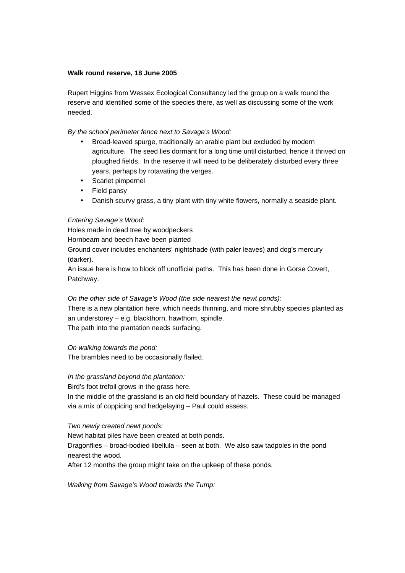### **Walk round reserve, 18 June 2005**

Rupert Higgins from Wessex Ecological Consultancy led the group on a walk round the reserve and identified some of the species there, as well as discussing some of the work needed.

By the school perimeter fence next to Savage's Wood:

- Broad-leaved spurge, traditionally an arable plant but excluded by modern agriculture. The seed lies dormant for a long time until disturbed, hence it thrived on ploughed fields. In the reserve it will need to be deliberately disturbed every three years, perhaps by rotavating the verges.
- Scarlet pimpernel
- Field pansy
- Danish scurvy grass, a tiny plant with tiny white flowers, normally a seaside plant.

### Entering Savage's Wood:

Holes made in dead tree by woodpeckers

Hornbeam and beech have been planted

Ground cover includes enchanters' nightshade (with paler leaves) and dog's mercury (darker).

An issue here is how to block off unofficial paths. This has been done in Gorse Covert, Patchway.

#### On the other side of Savage's Wood (the side nearest the newt ponds):

There is a new plantation here, which needs thinning, and more shrubby species planted as an understorey – e.g. blackthorn, hawthorn, spindle. The path into the plantation needs surfacing.

On walking towards the pond:

The brambles need to be occasionally flailed.

In the grassland beyond the plantation:

Bird's foot trefoil grows in the grass here.

In the middle of the grassland is an old field boundary of hazels. These could be managed via a mix of coppicing and hedgelaying – Paul could assess.

# Two newly created newt ponds:

Newt habitat piles have been created at both ponds. Dragonflies – broad-bodied libellula – seen at both. We also saw tadpoles in the pond nearest the wood.

After 12 months the group might take on the upkeep of these ponds.

Walking from Savage's Wood towards the Tump: